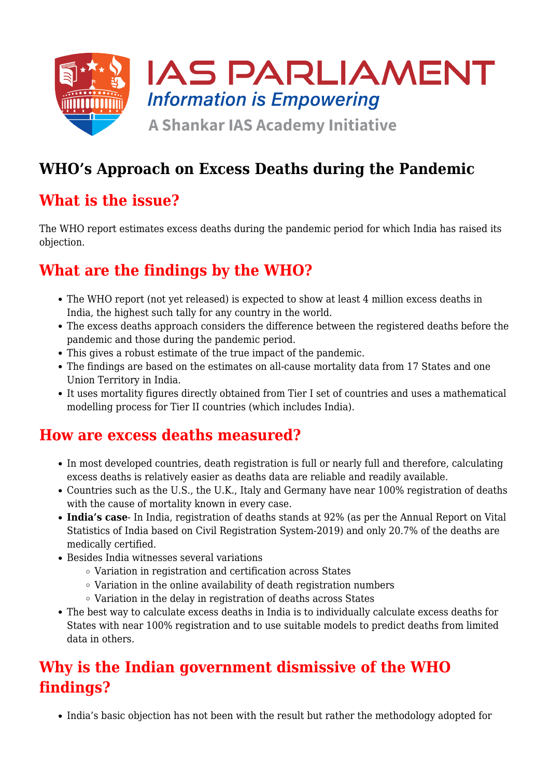

# **WHO's Approach on Excess Deaths during the Pandemic**

## **What is the issue?**

The WHO report estimates excess deaths during the pandemic period for which India has raised its objection.

## **What are the findings by the WHO?**

- The WHO report (not yet released) is expected to show at least 4 million excess deaths in India, the highest such tally for any country in the world.
- The excess deaths approach considers the difference between the registered deaths before the pandemic and those during the pandemic period.
- This gives a robust estimate of the true impact of the pandemic.
- The findings are based on the estimates on all-cause mortality data from 17 States and one Union Territory in India.
- It uses mortality figures directly obtained from Tier I set of countries and uses a mathematical modelling process for Tier II countries (which includes India).

### **How are excess deaths measured?**

- In most developed countries, death registration is full or nearly full and therefore, calculating excess deaths is relatively easier as deaths data are reliable and readily available.
- Countries such as the U.S., the U.K., Italy and Germany have near 100% registration of deaths with the cause of mortality known in every case.
- **India's case** In India, registration of deaths stands at 92% (as per the Annual Report on Vital Statistics of India based on Civil Registration System-2019) and only 20.7% of the deaths are medically certified.
- Besides India witnesses several variations
	- Variation in registration and certification across States
	- $\circ$  Variation in the online availability of death registration numbers
	- Variation in the delay in registration of deaths across States
- The best way to calculate excess deaths in India is to individually calculate excess deaths for States with near 100% registration and to use suitable models to predict deaths from limited data in others.

## **Why is the Indian government dismissive of the WHO findings?**

• India's basic objection has not been with the result but rather the methodology adopted for